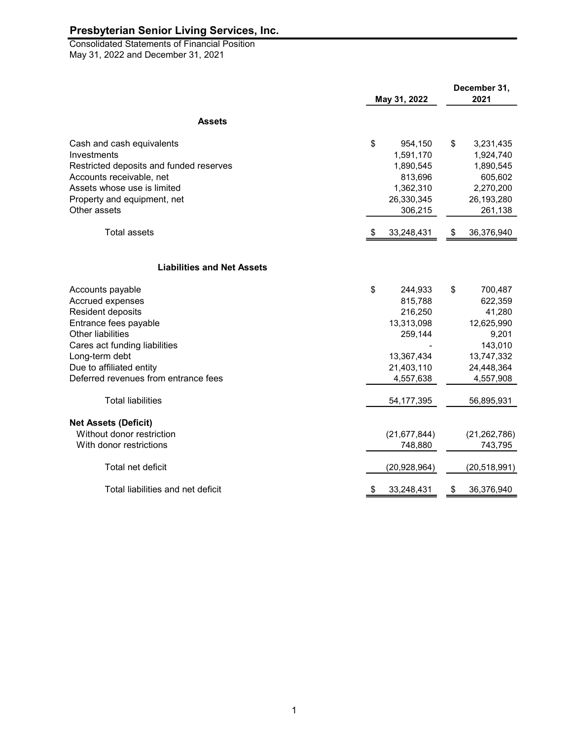May 31, 2022 and December 31, 2021 **Consolidated Statements of Financial Position** 

|                                         | May 31, 2022 |                | December 31,<br>2021 |                |
|-----------------------------------------|--------------|----------------|----------------------|----------------|
|                                         |              |                |                      |                |
| <b>Assets</b>                           |              |                |                      |                |
| Cash and cash equivalents               | \$           | 954,150        | \$                   | 3,231,435      |
| Investments                             |              | 1,591,170      |                      | 1,924,740      |
| Restricted deposits and funded reserves |              | 1,890,545      |                      | 1,890,545      |
| Accounts receivable, net                |              | 813,696        |                      | 605,602        |
| Assets whose use is limited             |              | 1,362,310      |                      | 2,270,200      |
| Property and equipment, net             |              | 26,330,345     |                      | 26,193,280     |
| Other assets                            |              | 306,215        |                      | 261,138        |
| <b>Total assets</b>                     | \$           | 33,248,431     | \$                   | 36,376,940     |
|                                         |              |                |                      |                |
| <b>Liabilities and Net Assets</b>       |              |                |                      |                |
| Accounts payable                        | \$           | 244,933        | \$                   | 700,487        |
| Accrued expenses                        |              | 815,788        |                      | 622,359        |
| <b>Resident deposits</b>                |              | 216,250        |                      | 41,280         |
| Entrance fees payable                   |              | 13,313,098     |                      | 12,625,990     |
| Other liabilities                       |              | 259,144        |                      | 9,201          |
| Cares act funding liabilities           |              |                |                      | 143,010        |
| Long-term debt                          |              | 13,367,434     |                      | 13,747,332     |
| Due to affiliated entity                |              | 21,403,110     |                      | 24,448,364     |
| Deferred revenues from entrance fees    |              | 4,557,638      |                      | 4,557,908      |
| <b>Total liabilities</b>                |              | 54, 177, 395   |                      | 56,895,931     |
| <b>Net Assets (Deficit)</b>             |              |                |                      |                |
| Without donor restriction               |              | (21, 677, 844) |                      | (21, 262, 786) |
| With donor restrictions                 |              | 748,880        |                      | 743,795        |
| Total net deficit                       |              | (20, 928, 964) |                      | (20,518,991)   |
| Total liabilities and net deficit       | \$           | 33,248,431     | \$                   | 36,376,940     |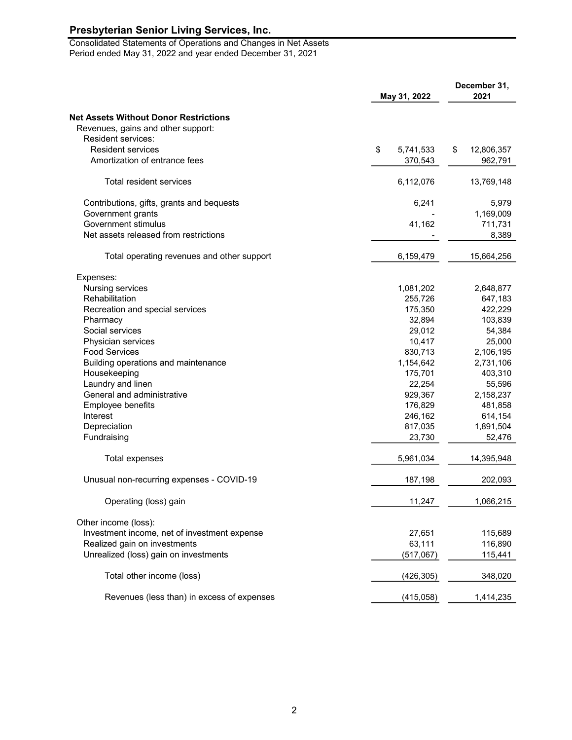Consolidated Statements of Operations and Changes in Net Assets Period ended May 31, 2022 and year ended December 31, 2021

|                                              | May 31, 2022    | December 31,<br>2021 |  |
|----------------------------------------------|-----------------|----------------------|--|
| <b>Net Assets Without Donor Restrictions</b> |                 |                      |  |
| Revenues, gains and other support:           |                 |                      |  |
| Resident services:                           |                 |                      |  |
| <b>Resident services</b>                     | \$<br>5,741,533 | \$<br>12,806,357     |  |
| Amortization of entrance fees                | 370,543         | 962,791              |  |
| Total resident services                      | 6,112,076       | 13,769,148           |  |
| Contributions, gifts, grants and bequests    | 6,241           | 5,979                |  |
| Government grants                            |                 | 1,169,009            |  |
| Government stimulus                          | 41,162          | 711,731              |  |
| Net assets released from restrictions        |                 | 8,389                |  |
| Total operating revenues and other support   | 6,159,479       | 15,664,256           |  |
| Expenses:                                    |                 |                      |  |
| Nursing services                             | 1,081,202       | 2,648,877            |  |
| Rehabilitation                               | 255,726         | 647,183              |  |
| Recreation and special services              | 175,350         | 422,229              |  |
| Pharmacy                                     | 32,894          | 103,839              |  |
| Social services                              | 29,012          | 54,384               |  |
| Physician services                           | 10,417          | 25,000               |  |
| <b>Food Services</b>                         | 830,713         | 2,106,195            |  |
| Building operations and maintenance          | 1,154,642       | 2,731,106            |  |
| Housekeeping                                 | 175,701         | 403,310              |  |
| Laundry and linen                            | 22,254          | 55,596               |  |
| General and administrative                   | 929,367         | 2,158,237            |  |
| Employee benefits                            | 176,829         | 481,858              |  |
| Interest                                     | 246,162         | 614,154              |  |
| Depreciation                                 | 817,035         | 1,891,504            |  |
| Fundraising                                  | 23,730          | 52,476               |  |
| Total expenses                               | 5,961,034       | 14,395,948           |  |
| Unusual non-recurring expenses - COVID-19    | 187,198         | 202,093              |  |
| Operating (loss) gain                        | 11,247          | 1,066,215            |  |
| Other income (loss):                         |                 |                      |  |
| Investment income, net of investment expense | 27,651          | 115,689              |  |
| Realized gain on investments                 | 63,111          | 116,890              |  |
| Unrealized (loss) gain on investments        | (517,067)       | 115,441              |  |
| Total other income (loss)                    | (426, 305)      | 348,020              |  |
| Revenues (less than) in excess of expenses   | (415,058)       | 1,414,235            |  |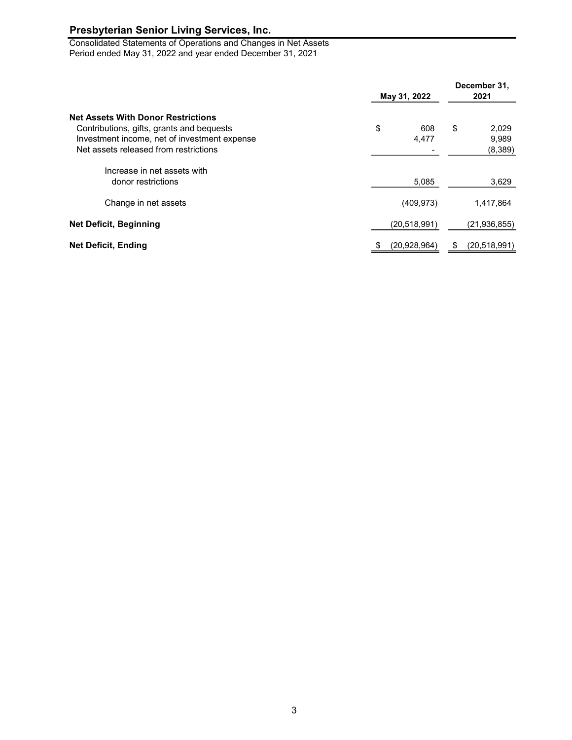Consolidated Statements of Operations and Changes in Net Assets Period ended May 31, 2022 and year ended December 31, 2021

|                                                                                                                                                                                 |    | May 31, 2022   |    | December 31,<br>2021      |  |
|---------------------------------------------------------------------------------------------------------------------------------------------------------------------------------|----|----------------|----|---------------------------|--|
| <b>Net Assets With Donor Restrictions</b><br>Contributions, gifts, grants and bequests<br>Investment income, net of investment expense<br>Net assets released from restrictions | \$ | 608<br>4,477   | \$ | 2,029<br>9,989<br>(8,389) |  |
| Increase in net assets with<br>donor restrictions                                                                                                                               |    | 5,085          |    | 3,629                     |  |
| Change in net assets                                                                                                                                                            |    | (409, 973)     |    | 1,417,864                 |  |
| <b>Net Deficit, Beginning</b>                                                                                                                                                   |    | (20, 518, 991) |    | (21, 936, 855)            |  |
| <b>Net Deficit, Ending</b>                                                                                                                                                      |    | (20.928.964)   | S  | (20, 518, 991)            |  |